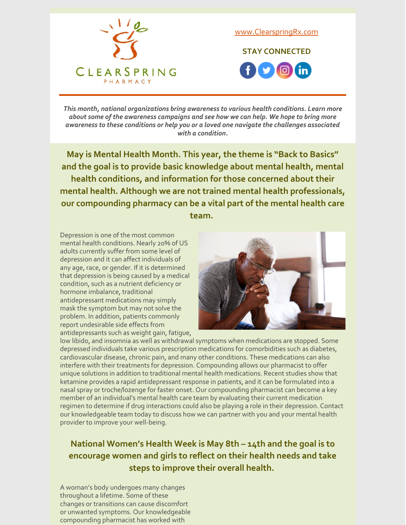

[www.ClearspringRx.com](https://www.clearspringrx.com)

**STAY CONNECTED**  $f$   $\bullet$   $\circ$ 

*This month, national organizations bring awareness to various health conditions. Learn more about some of the awareness campaigns and see how we can help. We hope to bring more awareness to these conditions or help you or a loved one navigate the challenges associated with a condition.*

**May is Mental Health Month. This year, the theme is "Back to Basics" and the goal is to provide basic knowledge about mental health, mental health conditions, and information for those concerned about their mental health. Although we are not trained mental health professionals, our compounding pharmacy can be a vital part of the mental health care team.**

Depression is one of the most common mental health conditions. Nearly 20% of US adults currently suffer from some level of depression and it can affect individuals of any age, race, or gender. If it is determined that depression is being caused by a medical condition, such as a nutrient deficiency or hormone imbalance, traditional antidepressant medications may simply mask the symptom but may not solve the problem. In addition, patients commonly report undesirable side effects from antidepressants such as weight gain, fatigue,



low libido, and insomnia as well as withdrawal symptoms when medications are stopped. Some depressed individuals take various prescription medications for comorbidities such as diabetes, cardiovascular disease, chronic pain, and many other conditions. These medications can also interfere with their treatments for depression. Compounding allows our pharmacist to offer unique solutions in addition to traditional mental health medications. Recent studies show that ketamine provides a rapid antidepressant response in patients, and it can be formulated into a nasal spray or troche/lozenge for faster onset. Our compounding pharmacist can become a key member of an individual's mental health care team by evaluating their current medication regimen to determine if drug interactions could also be playing a role in their depression. Contact our knowledgeable team today to discuss how we can partner with you and your mental health provider to improve your well-being.

### **National Women's Health Week is May 8th – 14th and the goal is to encourage women and girls to reflect on their health needs and take steps to improve their overall health.**

A woman's body undergoes many changes throughout a lifetime. Some of these changes or transitions can cause discomfort or unwanted symptoms. Our knowledgeable compounding pharmacist has worked with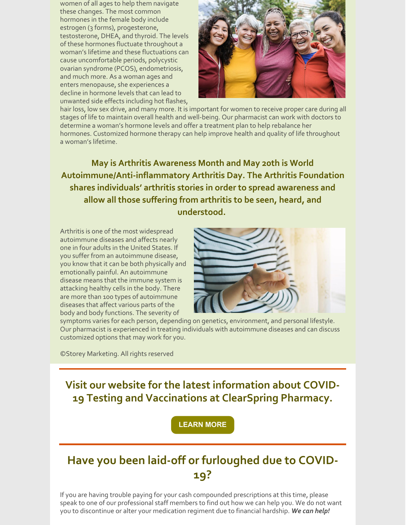women of all ages to help them navigate these changes. The most common hormones in the female body include estrogen (3 forms), progesterone, testosterone, DHEA, and thyroid. The levels of these hormones fluctuate throughout a woman's lifetime and these fluctuations can cause uncomfortable periods, polycystic ovarian syndrome (PCOS), endometriosis, and much more. As a woman ages and enters menopause, she experiences a decline in hormone levels that can lead to unwanted side effects including hot flashes,



hair loss, low sex drive, and many more. It is important for women to receive proper care during all stages of life to maintain overall health and well-being. Our pharmacist can work with doctors to determine a woman's hormone levels and offer a treatment plan to help rebalance her hormones. Customized hormone therapy can help improve health and quality of life throughout a woman's lifetime.

**May is Arthritis Awareness Month and May 20th is World Autoimmune/Anti-inflammatory Arthritis Day. The Arthritis Foundation shares individuals' arthritis stories in order to spread awareness and allow all those suffering from arthritis to be seen, heard, and understood.**

Arthritis is one of the most widespread autoimmune diseases and affects nearly one in four adults in the United States. If you suffer from an autoimmune disease, you know that it can be both physically and emotionally painful. An autoimmune disease means that the immune system is attacking healthy cells in the body. There are more than 100 types of autoimmune diseases that affect various parts of the body and body functions. The severity of



symptoms varies for each person, depending on genetics, environment, and personal lifestyle. Our pharmacist is experienced in treating individuals with autoimmune diseases and can discuss customized options that may work for you.

©Storey Marketing. All rights reserved

**Visit our website for the latest information about COVID-19 Testing and Vaccinations at ClearSpring Pharmacy.**

**[LEARN](https://clearspringrx.com/covid-19.php) MORE**

# **Have you been laid-off or furloughed due to COVID-19?**

If you are having trouble paying for your cash compounded prescriptions at this time, please speak to one of our professional staff members to find out how we can help you. We do not want you to discontinue or alter your medication regiment due to financial hardship. *We can help!*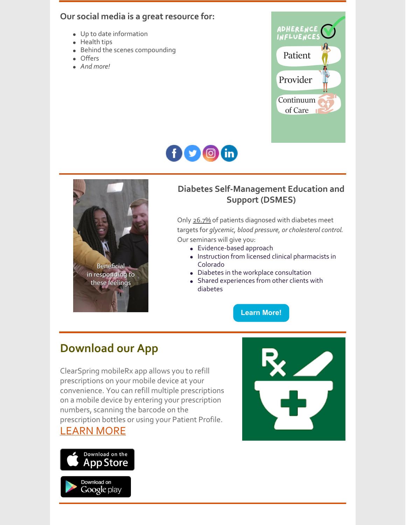#### **Our social media is a great resource for:**

- Up to date information
- Health tips
- Behind the scenes compounding
- Offers
- *And more!*







### **Diabetes Self-Management Education and Support (DSMES)**

Only 26.7% of patients diagnosed with diabetes meet targets for *glycemic, blood pressure, or cholesterol control*. Our seminars will give you:

- Evidence-based approach
- Instruction from licensed clinical pharmacists in Colorado
- Diabetes in the workplace consultation
- Shared experiences from other clients with diabetes

#### **[Learn](https://app.acuityscheduling.com/schedule.php?owner=21738145&appointmentType=30073060) More!**

# **Download our App**

ClearSpring mobileRx app allows you to refill prescriptions on your mobile device at your convenience. You can refill multiple prescriptions on a mobile device by entering your prescription numbers, scanning the barcode on the prescription bottles or using your Patient Profile.

### [LEARN](https://clearspringrx.com/app.php) MORE